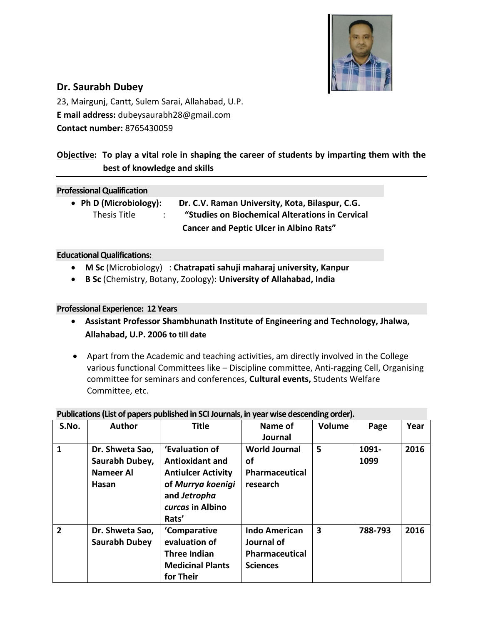

# **Dr. Saurabh Dubey**

23, Mairgunj, Cantt, Sulem Sarai, Allahabad, U.P. **E mail address:** dubeysaurabh28@gmail.com **Contact number:** 8765430059

# **Objective: To play a vital role in shaping the career of students by imparting them with the best of knowledge and skills**

### **Professional Qualification**

 **Ph D (Microbiology): Dr. C.V. Raman University, Kota, Bilaspur, C.G.** Thesis Title : **"Studies on Biochemical Alterations in Cervical Cancer and Peptic Ulcer in Albino Rats"**

#### **Educational Qualifications:**

- **M Sc** (Microbiology) : **Chatrapati sahuji maharaj university, Kanpur**
- **B Sc** (Chemistry, Botany, Zoology): **University of Allahabad, India**

### **Professional Experience: 12 Years**

- **Assistant Professor Shambhunath Institute of Engineering and Technology, Jhalwa, Allahabad, U.P. 2006 to till date**
- Apart from the Academic and teaching activities, am directly involved in the College various functional Committees like – Discipline committee, Anti-ragging Cell, Organising committee for seminars and conferences, **Cultural events,** Students Welfare Committee, etc.

| Publications (List of papers published in SCI Journals, in year wise descending order). |                      |                           |                       |        |         |      |  |  |  |  |
|-----------------------------------------------------------------------------------------|----------------------|---------------------------|-----------------------|--------|---------|------|--|--|--|--|
| S.No.                                                                                   | <b>Author</b>        | <b>Title</b>              | Name of               | Volume | Page    | Year |  |  |  |  |
|                                                                                         |                      |                           | Journal               |        |         |      |  |  |  |  |
| $\mathbf{1}$                                                                            | Dr. Shweta Sao,      | 'Evaluation of            | <b>World Journal</b>  | 5      | 1091-   | 2016 |  |  |  |  |
|                                                                                         | Saurabh Dubey,       | <b>Antioxidant and</b>    | οf                    |        | 1099    |      |  |  |  |  |
|                                                                                         | <b>Nameer Al</b>     | <b>Antiulcer Activity</b> | <b>Pharmaceutical</b> |        |         |      |  |  |  |  |
|                                                                                         | Hasan                | of Murrya koenigi         | research              |        |         |      |  |  |  |  |
|                                                                                         |                      | and Jetropha              |                       |        |         |      |  |  |  |  |
|                                                                                         |                      | curcas in Albino          |                       |        |         |      |  |  |  |  |
|                                                                                         |                      | Rats'                     |                       |        |         |      |  |  |  |  |
| $\overline{2}$                                                                          | Dr. Shweta Sao,      | 'Comparative              | <b>Indo American</b>  | 3      | 788-793 | 2016 |  |  |  |  |
|                                                                                         | <b>Saurabh Dubey</b> | evaluation of             | Journal of            |        |         |      |  |  |  |  |
|                                                                                         |                      | <b>Three Indian</b>       | Pharmaceutical        |        |         |      |  |  |  |  |
|                                                                                         |                      | <b>Medicinal Plants</b>   | <b>Sciences</b>       |        |         |      |  |  |  |  |
|                                                                                         |                      | for Their                 |                       |        |         |      |  |  |  |  |

## **Publications (List of papers published in SCI Journals, in year wise descending order).**